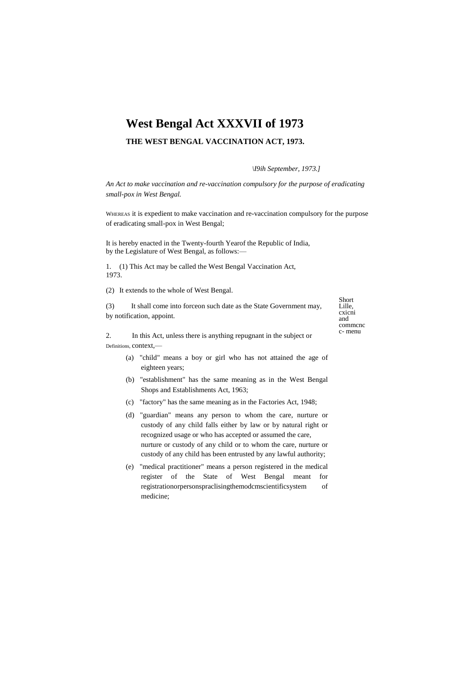# **West Bengal Act XXXVII of 1973**

# **THE WEST BENGAL VACCINATION ACT, 1973.**

*\I9ih September, 1973.]*

*An Act to make vaccination and re-vaccination compulsory for the purpose of eradicating small-pox in West Bengal.*

WHEREAS it is expedient to make vaccination and re-vaccination compulsory for the purpose of eradicating small-pox in West Bengal;

It is hereby enacted in the Twenty-fourth Yearof the Republic of India, by the Legislature of West Bengal, as follows:—

1. (1) This Act may be called the West Bengal Vaccination Act, 1973.

(2) It extends to the whole of West Bengal.

(3) It shall come into forceon such date as the State Government may, by notification, appoint.

Short Lille, cxicni and commcnc c- menu

2. In this Act, unless there is anything repugnant in the subject or Definitions, context,—

- (a) "child" means a boy or girl who has not attained the age of eighteen years;
- (b) "establishment" has the same meaning as in the West Bengal Shops and Establishments Act, 1963;
- (c) "factory" has the same meaning as in the Factories Act, 1948;
- (d) "guardian" means any person to whom the care, nurture or custody of any child falls either by law or by natural right or recognized usage or who has accepted or assumed the care, nurture or custody of any child or to whom the care, nurture or custody of any child has been entrusted by any lawful authority;
- (e) "medical practitioner" means a person registered in the medical register of the State of West Bengal meant for registrationorpersonspraclisingthemodcmscientificsystem of medicine;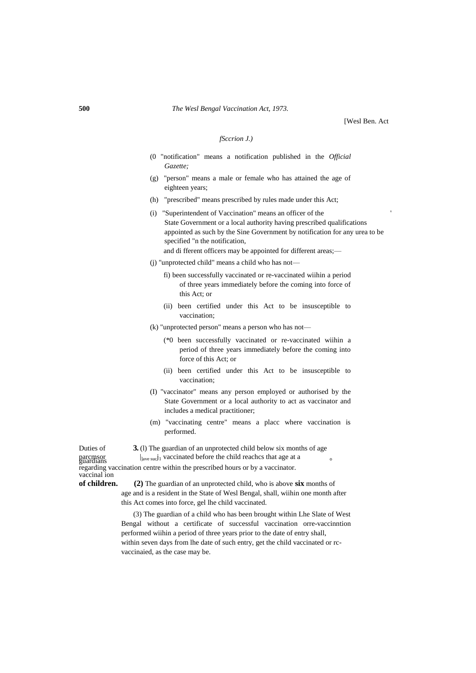[Wesl Ben. Act

#### *fSccrion J.)*

- (0 "notification" means a notification published in the *Official Gazette;*
- (g) "person" means a male or female who has attained the age of eighteen years;
- (h) "prescribed" means prescribed by rules made under this Act;
- (i) "Superintendent of Vaccination" means an officer of the ' State Government or a local authority having prescribed qualifications appointed as such by the Sine Government by notification for any urea to be specified "n the notification, and di fferent officers may be appointed for different areas;—
- (j) "unprotected child" means a child who has not
	- fi) been successfully vaccinated or re-vaccinated wiihin a period of three years immediately before the coming into force of this Act; or
	- (ii) been certified under this Act to be insusceptible to vaccination;
- (k) "unprotected person" means a person who has not—
	- (\*0 been successfully vaccinated or re-vaccinated wiihin a period of three years immediately before the coming into force of this Act; or
	- (ii) been certified under this Act to be insusceptible to vaccination;
- (I) "vaccinator" means any person employed or authorised by the State Government or a local authority to act as vaccinator and includes a medical practitioner;
- (m) "vaccinating centre" means a placc where vaccination is performed.
- Duties of **3.** (l) The guardian of an unprotected child below six months of age parcmsor<br>buardians  $\eta_{\text{ave suc}}$ j<sub>1</sub> vaccinated before the child reachcs that age at a

regarding vaccination centre within the prescribed hours or by a vaccinator. vaccinal ion **of children. (2)** The guardian of an unprotected child, who is above **six** months of

age and is a resident in the State of Wesl Bengal, shall, wiihin one month after this Act comes into force, gel lhe child vaccinated.

(3) The guardian of a child who has been brought within Lhe Slate of West Bengal without a certificate of successful vaccination orre-vaccinntion performed wiihin a period of three years prior to the date of entry shall, within seven days from lhe date of such entry, get the child vaccinated or rcvaccinaied, as the case may be.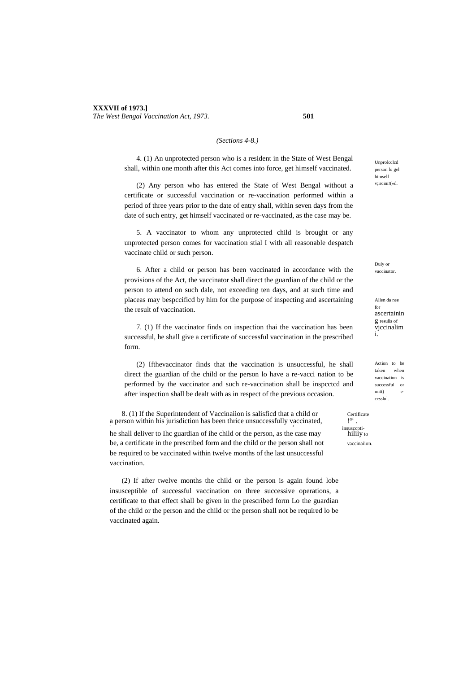#### *(Sections 4-8.)*

4. (1) An unprotected person who is a resident in the State of West Bengal shall, within one month after this Act comes into force, get himself vaccinated.

(2) Any person who has entered the State of West Bengal without a certificate or successful vaccination or re-vaccination performed within a period of three years prior to the date of entry shall, within seven days from the date of such entry, get himself vaccinated or re-vaccinated, as the case may be.

5. A vaccinator to whom any unprotected child is brought or any unprotected person comes for vaccination stial I with all reasonable despatch vaccinate child or such person.

6. After a child or person has been vaccinated in accordance with the provisions of the Act, the vaccinator shall direct the guardian of the child or the person to attend on such dale, not exceeding ten days, and at such time and placeas may bespccificd by him for the purpose of inspecting and ascertaining the result of vaccination.

7. (1) If the vaccinator finds on inspection thai the vaccination has been successful, he shall give a certificate of successful vaccination in the prescribed form.

(2) Ifthevaccinator finds that the vaccination is unsuccessful, he shall direct the guardian of the child or the person lo have a re-vacci nation to be performed by the vaccinator and such re-vaccination shall be inspcctcd and after inspection shall be dealt with as in respect of the previous occasion.

8. (1) If the Superintendent of Vaccinaiion is salisfied that a child or a person within his jurisdiction has been thrice unsuccessfully vaccinated, r Johann Harry (1986) and the control of the control of the control of the control of the control of the control of the control of the control of the control of the control of the control of the control of the control of t

he shall deliver to Ihc guardian of ihe child or the person, as the case may hiling to be, a certificate in the prescribed form and the child or the person shall not vaccinaiion be required to be vaccinated within twelve months of the last unsuccessful vaccination.

(2) If after twelve months the child or the person is again found lobe insusceptible of successful vaccination on three successive operations, a certificate to that effect shall be given in the prescribed form Lo the guardian of the child or the person and the child or the person shall not be required lo be vaccinated again.

Unprolcclcd person lo gel himself v;ircini!(«d.

Duly or vaccinator.

Allen da nee for ascertainin g resulis of vjccinalim i.

Action to be taken when vaccination is successful or  $mit$ ccsslul.

.<br>insuscepti-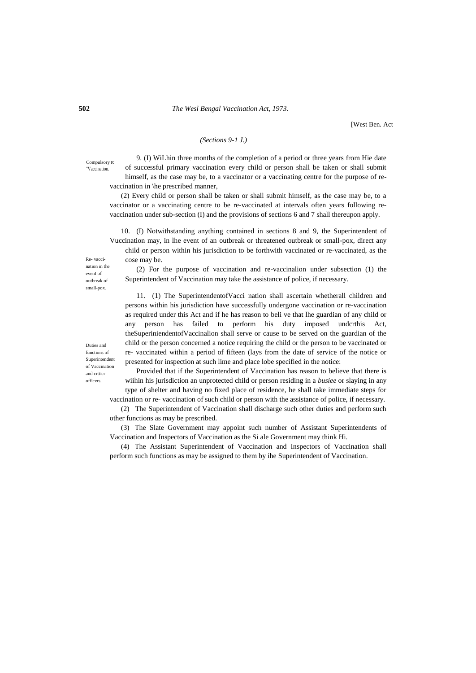## **502** *The Wesl Bengal Vaccination Act, 1973.*

[West Ben. Act

# *(Sections 9-1 J.)*

Compulsory rc "Vaccination.

9. (I) WiLhin three months of the completion of a period or three years from Hie date of successful primary vaccination every child or person shall be taken or shall submit himself, as the case may be, to a vaccinator or a vaccinating centre for the purpose of revaccination in \he prescribed manner,

(2) Every child or person shall be taken or shall submit himself, as the case may be, to a vaccinator or a vaccinating centre to be re-vaccinated at intervals often years following revaccination under sub-section (I) and the provisions of sections 6 and 7 shall thereupon apply.

10. (I) Notwithstanding anything contained in sections 8 and 9, the Superintendent of Vuccination may, in lhe event of an outbreak or threatened outbreak or small-pox, direct any

child or person within his jurisdiction to be forthwith vaccinated or re-vaccinated, as the cose may be.

Re- vaccination in the evenI of outbreak of small-pox.

(2) For the purpose of vaccination and re-vaccinalion under subsection (1) the Superintendent of Vaccination may take the assistance of police, if necessary.

11. (1) The SuperintendentofVacci nation shall ascertain whetherall children and persons within his jurisdiction have successfully undergone vaccination or re-vaccination as required under this Act and if he has reason to beli ve that lhe guardian of any child or any person has failed to perform his duty imposed undcrthis Act, theSuperiniendentofVaccinalion shall serve or cause to be served on the guardian of the child or the person concerned a notice requiring the child or the person to be vaccinated or re- vaccinated within a period of fifteen (lays from the date of service of the notice or presented for inspection at such lime and place lobe specified in the notice:

Provided that if the Superintendent of Vaccination has reason to believe that there is wiihin his jurisdiction an unprotected child or person residing in a *busiee* or slaying in any type of shelter and having no fixed place of residence, he shall take immediate steps for vaccination or re- vaccination of such child or person with the assistance of police, if necessary.

(2) The Superintendent of Vaccination shall discharge such other duties and perform such other functions as may be prescribed.

(3) The Slate Government may appoint such number of Assistant Superintendents of Vaccination and Inspectors of Vaccination as the Si ale Government may think Hi.

(4) The Assistant Superintendent of Vaccination and Inspectors of Vaccination shall perform such functions as may be assigned to them by ihe Superintendent of Vaccination.

Duties and functions of Superintenden of Vaccination and crtticr officers.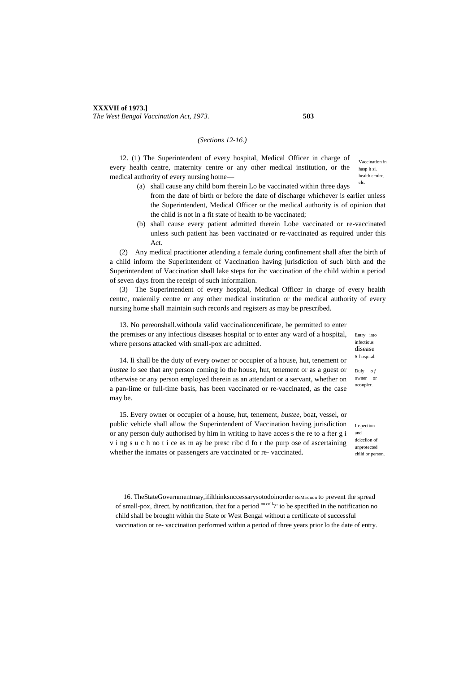#### **XXXVII of 1973.]** *The West Bengal Vaccination Act, 1973.* **503**

## *(Sections 12-16.)*

Vaccination in hasp it si. health ccnlrc, clc. 12. (1) The Superintendent of every hospital, Medical Officer in charge of every health centre, maternity centre or any other medical institution, or the medical authority of every nursing home—

- (a) shall cause any child born therein Lo be vaccinated within three days
	- from the date of birth or before the date of discharge whichever is earlier unless the Superintendent, Medical Officer or the medical authority is of opinion that the child is not in a fit state of health to be vaccinated;
- (b) shall cause every patient admitted therein Lobe vaccinated or re-vaccinated unless such patient has been vaccinated or re-vaccinated as required under this Act.

(2) Any medical practitioner atlending a female during confinement shall after the birth of a child inform the Superintendent of Vaccination having jurisdiction of such birth and the Superintendent of Vaccination shall lake steps for ihc vaccination of the child within a period of seven days from the receipt of such informaiion.

(3) The Superintendent of every hospital, Medical Officer in charge of every health centrc, maiemily centre or any other medical institution or the medical authority of every nursing home shall maintain such records and registers as may be prescribed.

13. No pereonshall.withoula valid vaccinalioncenificate, be permitted to enter the premises or any infectious diseases hospital or to enter any ward of a hospital, where persons attacked with small-pox arc admitted.

Entry into infectious disease s hospital.

Duly *o f*  owner or ocoupicr.

14. Ii shall be the duty of every owner or occupier of a house, hut, tenement or *bustee* lo see that any person coming io the house, hut, tenement or as a guest or otherwise or any person employed therein as an attendant or a servant, whether on a pan-lime or full-time basis, has been vaccinated or re-vaccinated, as the case may be.

15. Every owner or occupier of a house, hut, tenement, *bustee,* boat, vessel, or public vehicle shall allow the Superintendent of Vaccination having jurisdiction or any person duly authorised by him in writing to have acces s the re to a fter g i v i ng s u c h no t i ce as m ay be presc ribc d fo r the purp ose of ascertaining whether the inmates or passengers are vaccinated or re- vaccinated.

Inspection and delection of unprotected child or person.

16. TheStateGovernmentmay,ifilthinksnccessarysotodoinorder ReMriciion to prevent the spread of small-pox, direct, by notification, that for a period <sup>on cnlI</sup>7' io be specified in the notification no child shall be brought within the State or West Bengal without a certificate of successful vaccination or re- vaccinaiion performed within a period of three years prior lo the date of entry.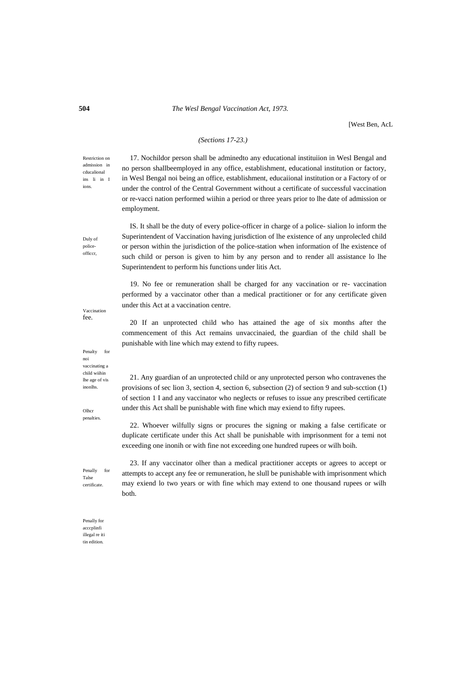## **504** *The Wesl Bengal Vaccination Act, 1973.*

[West Ben, AcL

## *(Sections 17-23.)*

Restriction on admission in cducalional ins li in I ions.

17. Nochildor person shall be adminedto any educational instituiion in Wesl Bengal and no person shallbeemployed in any office, establishment, educational institution or factory, in Wesl Bengal noi being an office, establishment, educaiional institution or a Factory of or under the control of the Central Government without a certificate of successful vaccination or re-vacci nation performed wiihin a period or three years prior to lhe date of admission or employment.

IS. It shall be the duty of every poIice-officer in charge of a police- sialion lo inform the Superintendent of Vaccination having jurisdiction of lhe existence of any unprolecled child or person within the jurisdiction of the police-station when information of lhe existence of such child or person is given to him by any person and to render all assistance lo lhe Superintendent to perform his functions under litis Act.

19. No fee or remuneration shall be charged for any vaccination or re- vaccination performed by a vaccinator other than a medical practitioner or for any certificate given under this Act at a vaccination centre.

20 If an unprotected child who has attained the age of six months after the commencement of this Act remains unvaccinaied, the guardian of the child shall be punishable with line which may extend to fifty rupees.

21. Any guardian of an unprotected child or any unprotected person who contravenes the provisions of sec lion 3, section 4, section 6, subsection (2) of section 9 and sub-scction (1) of section 1 I and any vaccinator who neglects or refuses to issue any prescribed certificate under this Act shall be punishable with fine which may exiend to fifty rupees.

22. Whoever wilfully signs or procures the signing or making a false certificate or duplicate certificate under this Act shall be punishable with imprisonment for a temi not exceeding one inonih or with fine not exceeding one hundred rupees or wilh boih.

23. If any vaccinator olher than a medical practitioner accepts or agrees to accept or attempts to accept any fee or remuneration, he slull be punishable with imprisonment which may exiend lo two years or with fine which may extend to one thousand rupees or wilh both.

Vaccination fee.

Duly of policeofficcr,

Penalty for noi vaccinating a child wiihin lhe age of vis inonlhs.

**Olhcr** penalties.

Penally for Talse certificate.

Penally for acccplinfi illegal re iti tin edition.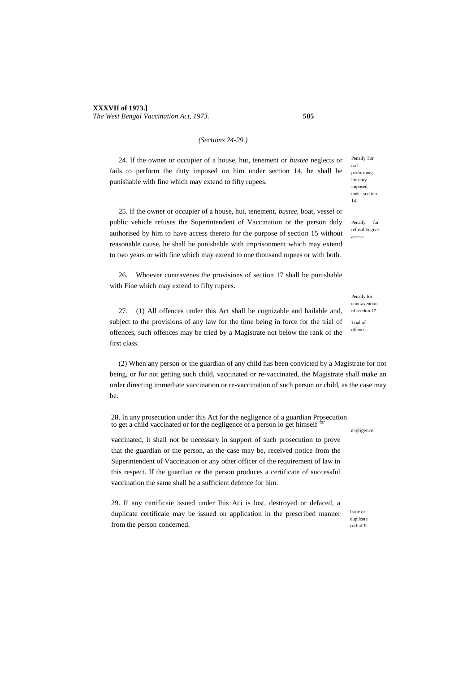## *(Sections 24-29.)*

24. If the owner or occupier of a house, hut, tenement or *bustee* neglects or fails to perform the duty imposed on him under section 14, he shall be punishable with fine which may extend to fifty rupees.

25. If the owner or occupier of a house, hut, tenement, *bustee,* boat, vessel or public vehicle refuses the Superintendent of Vaccination or the person duly authorised by him to have access thereto for the purpose of section 15 without reasonable cause, he shall be punishable with imprisonment which may extend to two years or with fine which may extend to one thousand rupees or with both.

26. Whoever contravenes the provisions of section 17 shall be punishable with Fine which may extend to fifty rupees.

27. (1) All offences under this Act shall be cognizable and bailable and, subject to the provisions of any law for the time being in force for the trial of offences, such offences may be tried by a Magistrate not below the rank of the first class.

(2) When any person or the guardian of any child has been convicted by a Magistrate for not being, or for not getting such child, vaccinated or re-vaccinated, the Magistrate shall make an order directing immediate vaccination or re-vaccination of such person or child, as the case may be.

28. In any prosecution under this Act for the negligence of a guardian Prosecution to get a child vaccinated or for the negligence of a person lo get himself  $^{6}$ 

vaccinated, it shall not be necessary in support of such prosecution to prove that the guardian or the person, as the case may be, received notice from the Superintendent of Vaccination or any other officer of the requirement of law in this respect. If the guardian or the person produces a certificate of successful vaccination the same shall be a sufficient defence for him.

29. If any certificaie issued under Ihis Aci is lost, destroyed or defaced, a duplicate certificaie may be issued on application in the prescribed manner from the person concerned.

Penally Tor no l performing ihc duty imposed under section 14.

Penally for refusal lo give access.

Penally for contravention nf section 17. Trial of

offences.

negligence.

Issue or duplicate cerlini<sup>r</sup>Jlc.